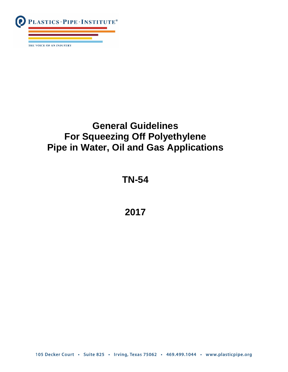

# **General Guidelines For Squeezing Off Polyethylene Pipe in Water, Oil and Gas Applications**

## **TN-54**

## **2017**

105 Decker Court · Suite 825 · Irving, Texas 75062 · 469.499.1044 · www.plasticpipe.org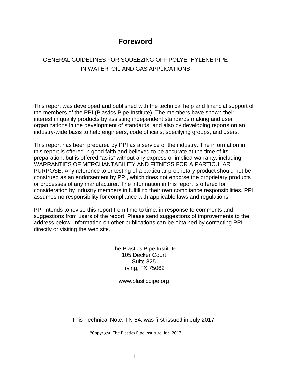### **Foreword**

### GENERAL GUIDELINES FOR SQUEEZING OFF POLYETHYLENE PIPE IN WATER, OIL AND GAS APPLICATIONS

This report was developed and published with the technical help and financial support of the members of the PPI (Plastics Pipe Institute). The members have shown their interest in quality products by assisting independent standards making and user organizations in the development of standards, and also by developing reports on an industry-wide basis to help engineers, code officials, specifying groups, and users.

This report has been prepared by PPI as a service of the industry. The information in this report is offered in good faith and believed to be accurate at the time of its preparation, but is offered "as is" without any express or implied warranty, including WARRANTIES OF MERCHANTABILITY AND FITNESS FOR A PARTICULAR PURPOSE. Any reference to or testing of a particular proprietary product should not be construed as an endorsement by PPI, which does not endorse the proprietary products or processes of any manufacturer. The information in this report is offered for consideration by industry members in fulfilling their own compliance responsibilities. PPI assumes no responsibility for compliance with applicable laws and regulations.

PPI intends to revise this report from time to time, in response to comments and suggestions from users of the report. Please send suggestions of improvements to the address below. Information on other publications can be obtained by contacting PPI directly or visiting the web site.

> The Plastics Pipe Institute 105 Decker Court Suite 825 Irving, TX 75062

> > www.plasticpipe.org

This Technical Note, TN-54, was first issued in July 2017.

©Copyright, The Plastics Pipe Institute, Inc. 2017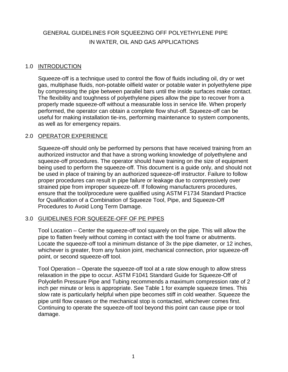### GENERAL GUIDELINES FOR SQUEEZING OFF POLYETHYLENE PIPE IN WATER, OIL AND GAS APPLICATIONS

#### 1.0 INTRODUCTION

Squeeze-off is a technique used to control the flow of fluids including oil, dry or wet gas, multiphase fluids, non-potable oilfield water or potable water in polyethylene pipe by compressing the pipe between parallel bars until the inside surfaces make contact. The flexibility and toughness of polyethylene pipes allow the pipe to recover from a properly made squeeze-off without a measurable loss in service life. When properly performed, the operator can obtain a complete flow shut-off. Squeeze-off can be useful for making installation tie-ins, performing maintenance to system components, as well as for emergency repairs.

#### 2.0 OPERATOR EXPERIENCE

Squeeze-off should only be performed by persons that have received training from an authorized instructor and that have a strong working knowledge of polyethylene and squeeze-off procedures. The operator should have training on the size of equipment being used to perform the squeeze-off. This document is a guide only, and should not be used in place of training by an authorized squeeze-off instructor. Failure to follow proper procedures can result in pipe failure or leakage due to compressively over strained pipe from improper squeeze-off. If following manufacturers procedures, ensure that the tool/procedure were qualified using ASTM F1734 Standard Practice for Qualification of a Combination of Squeeze Tool, Pipe, and Squeeze-Off Procedures to Avoid Long Term Damage.

#### 3.0 GUIDELINES FOR SQUEEZE-OFF OF PE PIPES

Tool Location – Center the squeeze-off tool squarely on the pipe. This will allow the pipe to flatten freely without coming in contact with the tool frame or abutments. Locate the squeeze-off tool a minimum distance of 3x the pipe diameter, or 12 inches, whichever is greater, from any fusion joint, mechanical connection, prior squeeze-off point, or second squeeze-off tool.

Tool Operation – Operate the squeeze-off tool at a rate slow enough to allow stress relaxation in the pipe to occur. ASTM F1041 Standard Guide for Squeeze-Off of Polyolefin Pressure Pipe and Tubing recommends a maximum compression rate of 2 inch per minute or less is appropriate. See Table 1 for example squeeze times. This slow rate is particularly helpful when pipe becomes stiff in cold weather. Squeeze the pipe until flow ceases or the mechanical stop is contacted, whichever comes first. Continuing to operate the squeeze-off tool beyond this point can cause pipe or tool damage.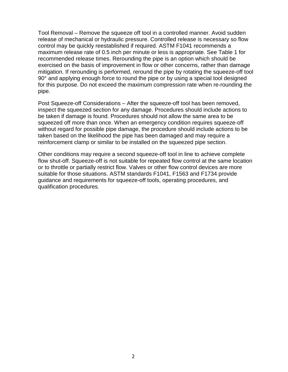Tool Removal – Remove the squeeze off tool in a controlled manner. Avoid sudden release of mechanical or hydraulic pressure. Controlled release is necessary so flow control may be quickly reestablished if required. ASTM F1041 recommends a maximum release rate of 0.5 inch per minute or less is appropriate. See Table 1 for recommended release times. Rerounding the pipe is an option which should be exercised on the basis of improvement in flow or other concerns, rather than damage mitigation. If rerounding is performed, reround the pipe by rotating the squeeze-off tool 90° and applying enough force to round the pipe or by using a special tool designed for this purpose. Do not exceed the maximum compression rate when re-rounding the pipe.

Post Squeeze-off Considerations – After the squeeze-off tool has been removed, inspect the squeezed section for any damage. Procedures should include actions to be taken if damage is found. Procedures should not allow the same area to be squeezed off more than once. When an emergency condition requires squeeze-off without regard for possible pipe damage, the procedure should include actions to be taken based on the likelihood the pipe has been damaged and may require a reinforcement clamp or similar to be installed on the squeezed pipe section.

Other conditions may require a second squeeze-off tool in line to achieve complete flow shut-off. Squeeze-off is not suitable for repeated flow control at the same location or to throttle or partially restrict flow. Valves or other flow control devices are more suitable for those situations. ASTM standards F1041, F1563 and F1734 provide guidance and requirements for squeeze-off tools, operating procedures, and qualification procedures.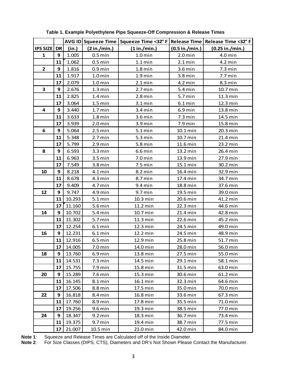|                 |           |        |                      | AVG ID Squeeze Time   Squeeze Time <32° F   Release Time   Release Time <32° F |                   |                   |
|-----------------|-----------|--------|----------------------|--------------------------------------------------------------------------------|-------------------|-------------------|
| <b>IPS SIZE</b> | <b>DR</b> | (in.)  | (2 in./min.)         | (1 in./min.)                                                                   | (0.5 in./min.)    | (0.25 in./min.)   |
| $\mathbf{1}$    | 9         | 1.005  | $0.5$ min            | $1.0$ min                                                                      | $2.0$ min         | $4.0$ min         |
|                 | 11        | 1.062  | $0.5$ min            | $1.1 \text{ min}$                                                              | $2.1 \text{ min}$ | $4.2$ min         |
| $\overline{2}$  | 9         | 1.816  | $0.9$ min            | $1.8$ min                                                                      | $3.6$ min         | $7.3 \text{ min}$ |
|                 | 11        | 1.917  | $1.0$ min            | $1.9$ min                                                                      | $3.8$ min         | $7.7 \text{ min}$ |
|                 | 17        | 2.079  | $1.0 \,\mathrm{min}$ | $2.1 \text{ min}$                                                              | $4.2$ min         | $8.3 \text{ min}$ |
| 3               | 9         | 2.676  | $1.3 \text{ min}$    | $2.7 \text{ min}$                                                              | $5.4$ min         | 10.7 min          |
|                 | 11        | 2.825  | $1.4$ min            | $2.8$ min                                                                      | 5.7 min           | 11.3 min          |
|                 | 17        | 3.064  | $1.5 \text{ min}$    | $3.1 \,\mathrm{min}$                                                           | $6.1$ min         | 12.3 min          |
| 4               | 9         | 3.440  | $1.7$ min            | $3.4$ min                                                                      | $6.9$ min         | 13.8 min          |
|                 | 11        | 3.633  | $1.8 \text{ min}$    | $3.6 \,\mathrm{min}$                                                           | $7.3 \text{ min}$ | 14.5 min          |
|                 | 17        | 3.939  | $2.0 \text{ min}$    | $3.9 \,\mathrm{min}$                                                           | $7.9$ min         | 15.8 min          |
| 6               | 9         | 5.064  | $2.5 \text{ min}$    | $5.1 \,\mathrm{min}$                                                           | 10.1 min          | 20.3 min          |
|                 | 11        | 5.348  | $2.7$ min            | $5.3 \text{ min}$                                                              | 10.7 min          | 21.4 min          |
|                 | 17        | 5.799  | $2.9$ min            | $5.8$ min                                                                      | 11.6 min          | 23.2 min          |
| 8               | 9         | 6.593  | $3.3 \text{ min}$    | $6.6$ min                                                                      | 13.2 min          | 26.4 min          |
|                 | 11        | 6.963  | 3.5 min              | $7.0$ min                                                                      | 13.9 min          | 27.9 min          |
|                 | 17        | 7.549  | $3.8$ min            | $7.5$ min                                                                      | 15.1 min          | 30.2 min          |
| 10              | 9         | 8.218  | $4.1$ min            | 8.2 min                                                                        | 16.4 min          | 32.9 min          |
|                 | 11        | 8.678  | $4.3 \text{ min}$    | 8.7 min                                                                        | 17.4 min          | 34.7 min          |
|                 | 17        | 9.409  | 4.7 min              | $9.4$ min                                                                      | 18.8 min          | 37.6 min          |
| 12              | 9         | 9.747  | 4.9 min              | 9.7 min                                                                        | 19.5 min          | 39.0 min          |
|                 | 11        | 10.293 | $5.1 \,\mathrm{min}$ | 10.3 min                                                                       | 20.6 min          | 41.2 min          |
|                 | 17        | 11.160 | 5.6 min              | 11.2 min                                                                       | 22.3 min          | 44.6 min          |
| 14              | 9         | 10.702 | $5.4$ min            | 10.7 min                                                                       | 21.4 min          | 42.8 min          |
|                 | 11        | 11.302 | 5.7 min              | 11.3 min                                                                       | 22.6 min          | 45.2 min          |
|                 | 17        | 12.254 | $6.1 \,\mathrm{min}$ | 12.3 min                                                                       | 24.5 min          | 49.0 min          |
| 16              | 9         | 12.231 | $6.1$ min            | 12.2 min                                                                       | 24.5 min          | 48.9 min          |
|                 | 11        | 12.916 | $6.5 \text{ min}$    | 12.9 min                                                                       | 25.8 min          | 51.7 min          |
|                 | 17        | 14.005 | $7.0$ min            | 14.0 min                                                                       | 28.0 min          | 56.0 min          |
| 18              | 9         | 13.760 | $6.9$ min            | 13.8 min                                                                       | 27.5 min          | 55.0 min          |
|                 | 11        | 14.531 | $7.3 \text{ min}$    | 14.5 min                                                                       | 29.1 min          | 58.1 min          |
|                 | 17        | 15.755 | $7.9$ min            | 15.8 min                                                                       | 31.5 min          | 63.0 min          |
| 20              | 9         | 15.289 | $7.6$ min            | 15.3 min                                                                       | 30.6 min          | 61.2 min          |
|                 | 11        | 16.145 | 8.1 min              | 16.1 min                                                                       | 32.3 min          | 64.6 min          |
|                 | 17        | 17.506 | 8.8 min              | 17.5 min                                                                       | 35.0 min          | 70.0 min          |
| 22              | 9         | 16.818 | 8.4 min              | 16.8 min                                                                       | 33.6 min          | 67.3 min          |
|                 | 11        | 17.760 | 8.9 min              | 17.8 min                                                                       | 35.5 min          | 71.0 min          |
|                 | 17        | 19.256 | 9.6 min              | 19.3 min                                                                       | 38.5 min          | 77.0 min          |
| 24              | 9         | 18.347 | $9.2$ min            | 18.3 min                                                                       | 36.7 min          | 73.4 min          |
|                 | 11        | 19.375 | 9.7 min              | 19.4 min                                                                       | 38.7 min          | 77.5 min          |
|                 | 17        | 21.007 | $10.5$ min           | 21.0 min                                                                       | 42.0 min          | 84.0 min          |

**Table 1. Example Polyethylene Pipe Squeeze-Off Compression & Release Times**

**Note 1**: Squeeze and Release Times are Calculated off of the Inside Diameter.

**Note 2**: For Size Classes (DIPS, CTS), Diameters and DR's Not Shown Please Contact the Manufacturer.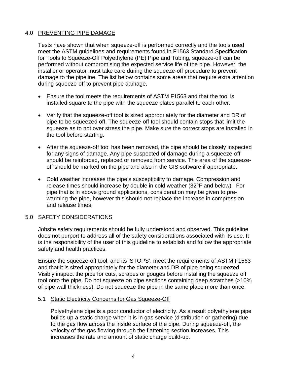#### 4.0 PREVENTING PIPE DAMAGE

Tests have shown that when squeeze-off is performed correctly and the tools used meet the ASTM guidelines and requirements found in F1563 Standard Specification for Tools to Squeeze-Off Polyethylene (PE) Pipe and Tubing, squeeze-off can be performed without compromising the expected service life of the pipe. However, the installer or operator must take care during the squeeze-off procedure to prevent damage to the pipeline. The list below contains some areas that require extra attention during squeeze-off to prevent pipe damage.

- Ensure the tool meets the requirements of ASTM F1563 and that the tool is installed square to the pipe with the squeeze plates parallel to each other.
- Verify that the squeeze-off tool is sized appropriately for the diameter and DR of pipe to be squeezed off. The squeeze-off tool should contain stops that limit the squeeze as to not over stress the pipe. Make sure the correct stops are installed in the tool before starting.
- After the squeeze-off tool has been removed, the pipe should be closely inspected for any signs of damage. Any pipe suspected of damage during a squeeze-off should be reinforced, replaced or removed from service. The area of the squeezeoff should be marked on the pipe and also in the GIS software if appropriate.
- Cold weather increases the pipe's susceptibility to damage. Compression and release times should increase by double in cold weather (32°F and below). For pipe that is in above ground applications, consideration may be given to prewarming the pipe, however this should not replace the increase in compression and release times.

#### 5.0 SAFETY CONSIDERATIONS

Jobsite safety requirements should be fully understood and observed. This guideline does not purport to address all of the safety considerations associated with its use. It is the responsibility of the user of this guideline to establish and follow the appropriate safety and health practices.

Ensure the squeeze-off tool, and its 'STOPS', meet the requirements of ASTM F1563 and that it is sized appropriately for the diameter and DR of pipe being squeezed. Visibly inspect the pipe for cuts, scrapes or gouges before installing the squeeze off tool onto the pipe. Do not squeeze on pipe sections containing deep scratches (>10% of pipe wall thickness). Do not squeeze the pipe in the same place more than once.

#### 5.1 Static Electricity Concerns for Gas Squeeze-Off

Polyethylene pipe is a poor conductor of electricity. As a result polyethylene pipe builds up a static charge when it is in gas service (distribution or gathering) due to the gas flow across the inside surface of the pipe. During squeeze-off, the velocity of the gas flowing through the flattening section increases. This increases the rate and amount of static charge build-up.